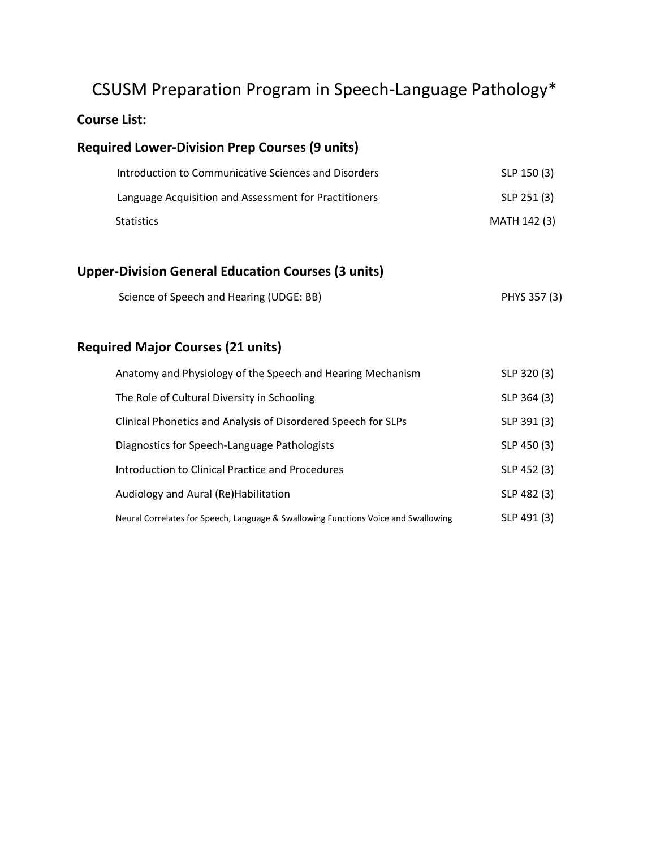# CSUSM Preparation Program in Speech-Language Pathology\*

# **Course List:**

# **Required Lower-Division Prep Courses (9 units)**

| Introduction to Communicative Sciences and Disorders  | SLP 150 (3)  |
|-------------------------------------------------------|--------------|
| Language Acquisition and Assessment for Practitioners | SLP 251 (3)  |
| <b>Statistics</b>                                     | MATH 142 (3) |

# **Upper-Division General Education Courses (3 units)**

# **Required Major Courses (21 units)**

| Anatomy and Physiology of the Speech and Hearing Mechanism                         | SLP 320 (3) |
|------------------------------------------------------------------------------------|-------------|
| The Role of Cultural Diversity in Schooling                                        | SLP 364 (3) |
| Clinical Phonetics and Analysis of Disordered Speech for SLPs                      | SLP 391 (3) |
| Diagnostics for Speech-Language Pathologists                                       | SLP 450 (3) |
| Introduction to Clinical Practice and Procedures                                   | SLP 452 (3) |
| Audiology and Aural (Re) Habilitation                                              | SLP 482 (3) |
| Neural Correlates for Speech, Language & Swallowing Functions Voice and Swallowing | SLP 491 (3) |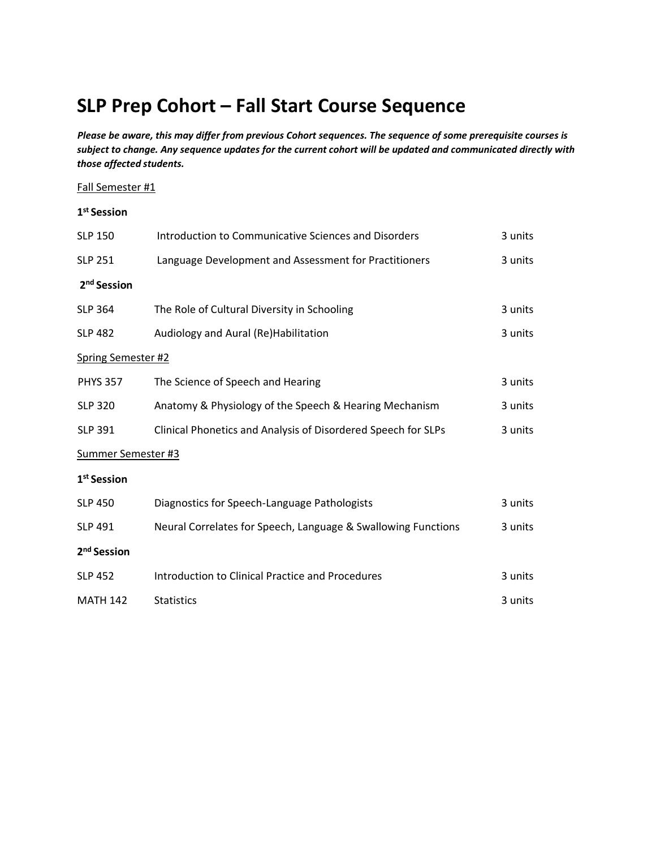# **SLP Prep Cohort – Fall Start Course Sequence**

*Please be aware, this may differ from previous Cohort sequences. The sequence of some prerequisite courses is subject to change. Any sequence updates for the current cohort will be updated and communicated directly with those affected students.* 

### Fall Semester #1

| 1 <sup>st</sup> Session   |                                                               |         |
|---------------------------|---------------------------------------------------------------|---------|
| <b>SLP 150</b>            | Introduction to Communicative Sciences and Disorders          | 3 units |
| <b>SLP 251</b>            | Language Development and Assessment for Practitioners         | 3 units |
| 2 <sup>nd</sup> Session   |                                                               |         |
| <b>SLP 364</b>            | The Role of Cultural Diversity in Schooling                   | 3 units |
| <b>SLP 482</b>            | Audiology and Aural (Re)Habilitation                          | 3 units |
| <b>Spring Semester #2</b> |                                                               |         |
| <b>PHYS 357</b>           | The Science of Speech and Hearing                             | 3 units |
| <b>SLP 320</b>            | Anatomy & Physiology of the Speech & Hearing Mechanism        | 3 units |
| <b>SLP 391</b>            | Clinical Phonetics and Analysis of Disordered Speech for SLPs | 3 units |
| Summer Semester #3        |                                                               |         |
| 1 <sup>st</sup> Session   |                                                               |         |
| <b>SLP 450</b>            | Diagnostics for Speech-Language Pathologists                  | 3 units |
| <b>SLP 491</b>            | Neural Correlates for Speech, Language & Swallowing Functions | 3 units |
| 2 <sup>nd</sup> Session   |                                                               |         |
| <b>SLP 452</b>            | <b>Introduction to Clinical Practice and Procedures</b>       | 3 units |
| <b>MATH 142</b>           | <b>Statistics</b>                                             | 3 units |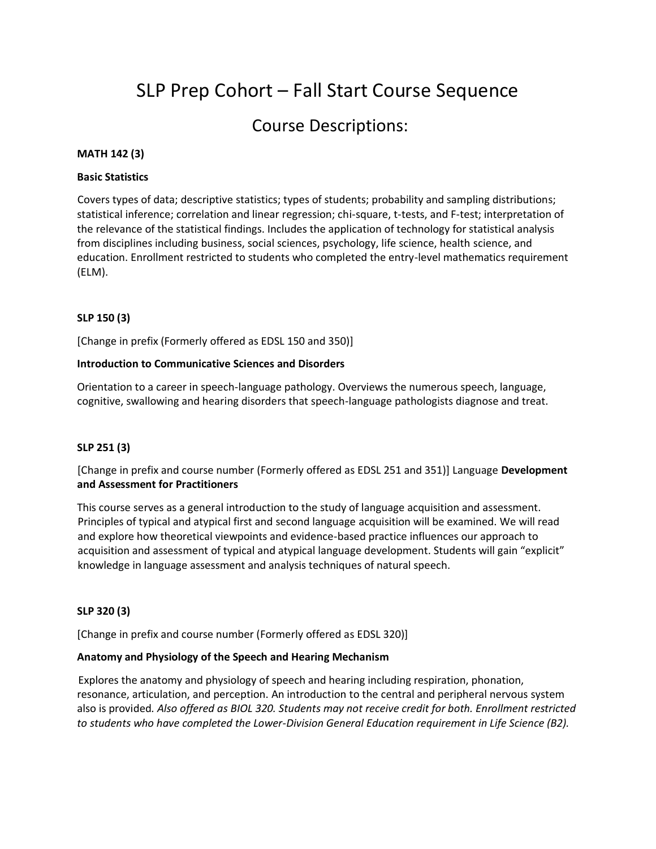# SLP Prep Cohort – Fall Start Course Sequence

# Course Descriptions:

### **MATH 142 (3)**

#### **Basic Statistics**

Covers types of data; descriptive statistics; types of students; probability and sampling distributions; statistical inference; correlation and linear regression; chi-square, t-tests, and F-test; interpretation of the relevance of the statistical findings. Includes the application of technology for statistical analysis from disciplines including business, social sciences, psychology, life science, health science, and education. Enrollment restricted to students who completed the entry-level mathematics requirement (ELM).

### **SLP 150 (3)**

[Change in prefix (Formerly offered as EDSL 150 and 350)]

#### **Introduction to Communicative Sciences and Disorders**

Orientation to a career in speech-language pathology. Overviews the numerous speech, language, cognitive, swallowing and hearing disorders that speech-language pathologists diagnose and treat.

#### **SLP 251 (3)**

# [Change in prefix and course number (Formerly offered as EDSL 251 and 351)] Language **Development and Assessment for Practitioners**

This course serves as a general introduction to the study of language acquisition and assessment. Principles of typical and atypical first and second language acquisition will be examined. We will read and explore how theoretical viewpoints and evidence-based practice influences our approach to acquisition and assessment of typical and atypical language development. Students will gain "explicit" knowledge in language assessment and analysis techniques of natural speech.

#### **SLP 320 (3)**

[Change in prefix and course number (Formerly offered as EDSL 320)]

### **Anatomy and Physiology of the Speech and Hearing Mechanism**

Explores the anatomy and physiology of speech and hearing including respiration, phonation, resonance, articulation, and perception. An introduction to the central and peripheral nervous system also is provided*. Also offered as BIOL 320. Students may not receive credit for both. Enrollment restricted to students who have completed the Lower-Division General Education requirement in Life Science (B2).*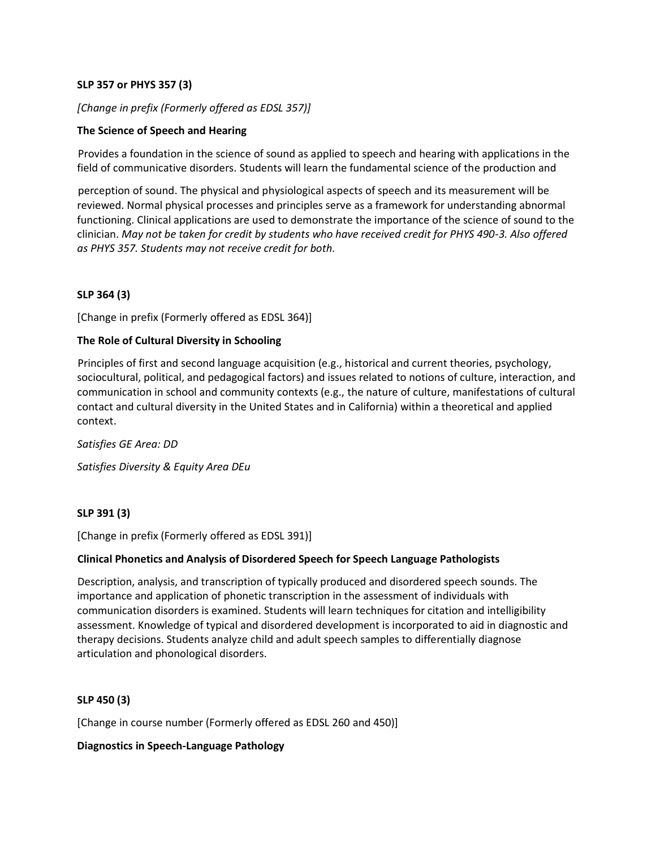## **SLP 357 or PHYS 357 (3)**

# *[Change in prefix (Formerly offered as EDSL 357)]*

# **The Science of Speech and Hearing**

Provides a foundation in the science of sound as applied to speech and hearing with applications in the field of communicative disorders. Students will learn the fundamental science of the production and

perception of sound. The physical and physiological aspects of speech and its measurement will be reviewed. Normal physical processes and principles serve as a framework for understanding abnormal functioning. Clinical applications are used to demonstrate the importance of the science of sound to the clinician. *May not be taken for credit by students who have received credit for PHYS 490-3. Also offered as PHYS 357. Students may not receive credit for both.* 

# **SLP 364 (3)**

[Change in prefix (Formerly offered as EDSL 364)]

## **The Role of Cultural Diversity in Schooling**

Principles of first and second language acquisition (e.g., historical and current theories, psychology, sociocultural, political, and pedagogical factors) and issues related to notions of culture, interaction, and communication in school and community contexts (e.g., the nature of culture, manifestations of cultural contact and cultural diversity in the United States and in California) within a theoretical and applied context.

*Satisfies GE Area: DD* 

*Satisfies Diversity & Equity Area DEu* 

## **SLP 391 (3)**

[Change in prefix (Formerly offered as EDSL 391)]

## **Clinical Phonetics and Analysis of Disordered Speech for Speech Language Pathologists**

Description, analysis, and transcription of typically produced and disordered speech sounds. The importance and application of phonetic transcription in the assessment of individuals with communication disorders is examined. Students will learn techniques for citation and intelligibility assessment. Knowledge of typical and disordered development is incorporated to aid in diagnostic and therapy decisions. Students analyze child and adult speech samples to differentially diagnose articulation and phonological disorders.

## **SLP 450 (3)**

[Change in course number (Formerly offered as EDSL 260 and 450)]

## **Diagnostics in Speech-Language Pathology**